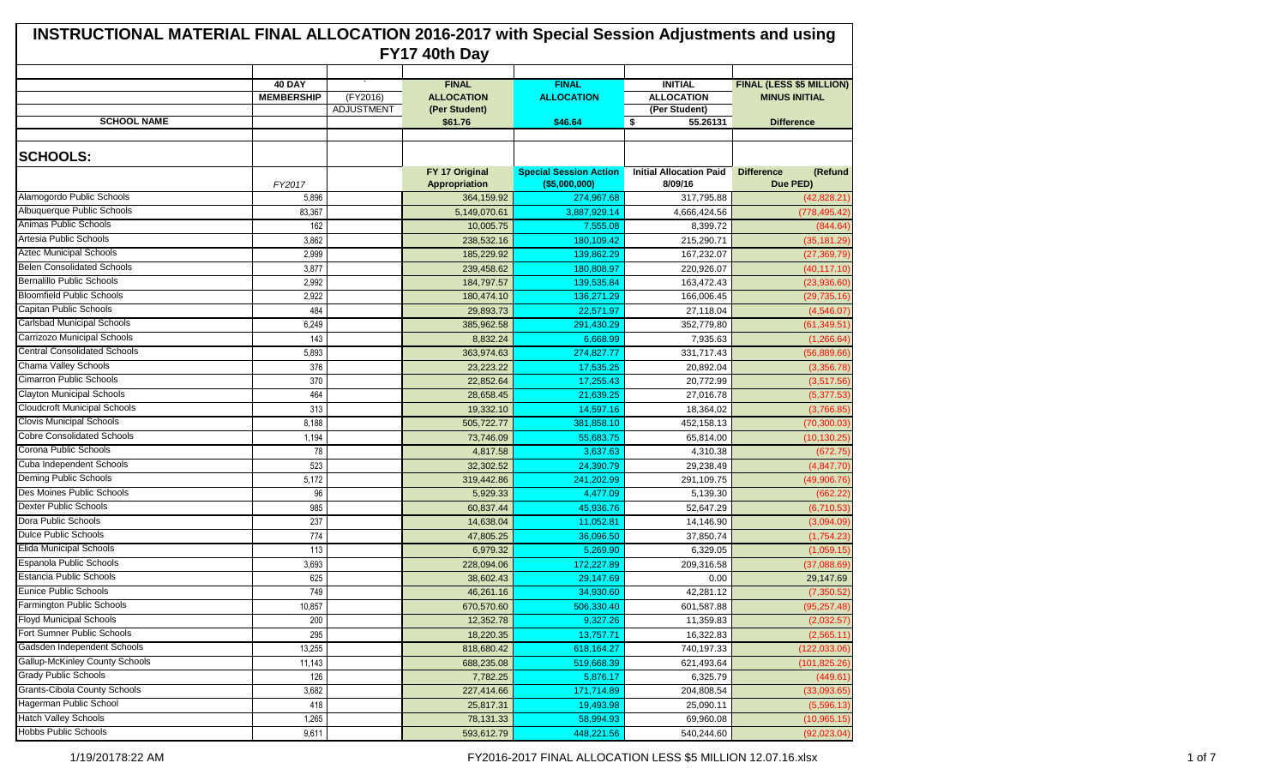| <b>INSTRUCTIONAL MATERIAL FINAL ALLOCATION 2016-2017 with Special Session Adjustments and using</b> |                                    |                        |                                                    |                                   |                                                      |                                                         |  |  |  |
|-----------------------------------------------------------------------------------------------------|------------------------------------|------------------------|----------------------------------------------------|-----------------------------------|------------------------------------------------------|---------------------------------------------------------|--|--|--|
| FY17 40th Day                                                                                       |                                    |                        |                                                    |                                   |                                                      |                                                         |  |  |  |
|                                                                                                     | <b>40 DAY</b><br><b>MEMBERSHIP</b> | (FY2016)<br>ADJUSTMENT | <b>FINAL</b><br><b>ALLOCATION</b><br>(Per Student) | <b>FINAL</b><br><b>ALLOCATION</b> | <b>INITIAL</b><br><b>ALLOCATION</b><br>(Per Student) | <b>FINAL (LESS \$5 MILLION)</b><br><b>MINUS INITIAL</b> |  |  |  |
| <b>SCHOOL NAME</b>                                                                                  |                                    |                        | \$61.76                                            | \$46.64                           | <b>S</b><br>55.26131                                 | <b>Difference</b>                                       |  |  |  |
| <b>SCHOOLS:</b>                                                                                     |                                    |                        | FY 17 Original                                     | <b>Special Session Action</b>     | <b>Initial Allocation Paid</b>                       | <b>Difference</b><br>(Refund                            |  |  |  |
|                                                                                                     | FY2017                             |                        | Appropriation                                      | $($ \$5,000,000)                  | 8/09/16                                              | Due PED)                                                |  |  |  |
| Alamogordo Public Schools                                                                           | 5,896                              |                        | 364,159.92                                         | 274,967.68                        | 317,795.88                                           | (42, 828.21)                                            |  |  |  |
| Albuquerque Public Schools                                                                          | 83,367                             |                        | 5,149,070.61                                       | 3,887,929.14                      | 4,666,424.56                                         | (778, 495.42)                                           |  |  |  |
| Animas Public Schools                                                                               | 162                                |                        | 10,005.75                                          | 7,555.08                          | 8,399.72                                             | (844.64)                                                |  |  |  |
| Artesia Public Schools                                                                              | 3,862                              |                        | 238,532.16                                         | 180,109.42                        | 215,290.71                                           | (35, 181.29)                                            |  |  |  |
| <b>Aztec Municipal Schools</b>                                                                      | 2,999                              |                        | 185,229.92                                         | 139.862.29                        | 167,232.07                                           | (27, 369.79)                                            |  |  |  |
| <b>Belen Consolidated Schools</b>                                                                   | 3,877                              |                        | 239,458.62                                         | 180,808.97                        | 220,926.07                                           | (40, 117.10)                                            |  |  |  |
| <b>Bernalillo Public Schools</b>                                                                    | 2,992                              |                        | 184,797.57                                         | 139,535.84                        | 163,472.43                                           | (23,936.60)                                             |  |  |  |
| <b>Bloomfield Public Schools</b>                                                                    | 2,922                              |                        | 180,474.10                                         | 136.271.29                        | 166,006.45                                           | (29, 735.16)                                            |  |  |  |
| Capitan Public Schools                                                                              | 484                                |                        | 29,893.73                                          | 22,571.97                         | 27,118.04                                            | (4,546.07)                                              |  |  |  |
| Carlsbad Municipal Schools                                                                          | 6,249                              |                        | 385,962.58                                         | 291,430.29                        | 352,779.80                                           | (61, 349.51)                                            |  |  |  |
| Carrizozo Municipal Schools                                                                         | 143                                |                        | 8,832.24                                           | 6,668.99                          | 7,935.63                                             | (1, 266.64)                                             |  |  |  |
| <b>Central Consolidated Schools</b>                                                                 | 5,893                              |                        | 363,974.63                                         | 274,827.77                        | 331,717.43                                           | (56,889.66)                                             |  |  |  |
| Chama Valley Schools                                                                                | 376                                |                        | 23,223.22                                          | 17,535.25                         | 20,892.04                                            | (3,356.78)                                              |  |  |  |
| <b>Cimarron Public Schools</b>                                                                      | 370                                |                        | 22,852.64                                          | 17,255.43                         | 20,772.99                                            | (3,517.56)                                              |  |  |  |
| <b>Clayton Municipal Schools</b>                                                                    | 464                                |                        | 28,658.45                                          | 21,639.25                         | 27,016.78                                            | (5,377.53)                                              |  |  |  |
| <b>Cloudcroft Municipal Schools</b>                                                                 | 313                                |                        | 19,332.10                                          | 14,597.16                         | 18,364.02                                            | (3,766.85)                                              |  |  |  |
| <b>Clovis Municipal Schools</b>                                                                     | 8,188                              |                        | 505,722.77                                         | 381,858.10                        | 452,158.13                                           | (70, 300.03)                                            |  |  |  |
| <b>Cobre Consolidated Schools</b>                                                                   | 1,194                              |                        | 73,746.09                                          | 55,683.75                         | 65,814.00                                            | (10, 130.25)                                            |  |  |  |
| Corona Public Schools                                                                               | 78                                 |                        | 4,817.58                                           | 3,637.63                          | 4,310.38                                             | (672.75)                                                |  |  |  |
| Cuba Independent Schools                                                                            | 523                                |                        | 32,302.52                                          | 24,390.79                         | 29,238.49                                            | (4,847.70)                                              |  |  |  |
| Deming Public Schools                                                                               | 5,172                              |                        | 319,442.86                                         | 241,202.99                        | 291.109.75                                           | (49,906.76)                                             |  |  |  |
| Des Moines Public Schools                                                                           | 96                                 |                        | 5,929.33                                           | 4,477.09                          | 5,139.30                                             | (662.22)                                                |  |  |  |
| <b>Dexter Public Schools</b>                                                                        | 985                                |                        | 60,837.44                                          | 45,936.76                         | 52.647.29                                            | (6,710.53)                                              |  |  |  |
| Dora Public Schools                                                                                 | 237                                |                        | 14,638.04                                          | 11,052.81                         | 14,146.90                                            | (3,094.09)                                              |  |  |  |
| <b>Dulce Public Schools</b>                                                                         | 774                                |                        | 47,805.25                                          | 36,096.50                         | 37,850.74                                            | (1,754.23)                                              |  |  |  |
| <b>Elida Municipal Schools</b>                                                                      | 113                                |                        | 6,979.32                                           | 5,269.90                          | 6,329.05                                             | (1,059.15)                                              |  |  |  |
| Espanola Public Schools                                                                             | 3,693                              |                        | 228,094.06                                         | 172,227.89                        | 209,316.58                                           | (37,088.69)                                             |  |  |  |
| <b>Estancia Public Schools</b>                                                                      | 625                                |                        | 38,602.43                                          | 29,147.69                         | 0.00                                                 | 29,147.69                                               |  |  |  |
| Eunice Public Schools                                                                               | 749                                |                        | 46,261.16                                          | 34,930.60                         | 42,281.12                                            | (7, 350.52)                                             |  |  |  |
| <b>Farmington Public Schools</b>                                                                    | 10,857                             |                        | 670,570.60                                         | 506,330.40                        | 601,587.88                                           | (95, 257.48)                                            |  |  |  |
| <b>Floyd Municipal Schools</b>                                                                      | 200                                |                        | 12,352.78                                          | 9,327.26                          | 11,359.83                                            | (2,032.57)                                              |  |  |  |
| Fort Sumner Public Schools                                                                          | 295                                |                        | 18,220.35                                          | 13,757.71                         | 16,322.83                                            | (2,565.11)                                              |  |  |  |
| Gadsden Independent Schools                                                                         | 13,255                             |                        | 818,680.42                                         | 618,164.27                        | 740,197.33                                           | (122, 033.06)                                           |  |  |  |
| <b>Gallup-McKinley County Schools</b>                                                               | 11,143                             |                        | 688,235.08                                         | 519,668.39                        | 621,493.64                                           | (101, 825.26)                                           |  |  |  |
| <b>Grady Public Schools</b>                                                                         | 126                                |                        | 7,782.25                                           | 5,876.17                          | 6,325.79                                             | (449.61)                                                |  |  |  |
| <b>Grants-Cibola County Schools</b>                                                                 | 3,682                              |                        | 227,414.66                                         | 171,714.89                        | 204,808.54                                           | (33,093.65)                                             |  |  |  |
| <b>Hagerman Public School</b>                                                                       | 418                                |                        | 25,817.31                                          | 19,493.98                         | 25,090.11                                            | (5,596.13)                                              |  |  |  |
| <b>Hatch Valley Schools</b>                                                                         | 1,265                              |                        | 78,131.33                                          | 58,994.93                         | 69,960.08                                            | (10, 965.15)                                            |  |  |  |
| <b>Hobbs Public Schools</b>                                                                         | 9,611                              |                        | 593,612.79                                         | 448,221.56                        | 540,244.60                                           | (92,023.04)                                             |  |  |  |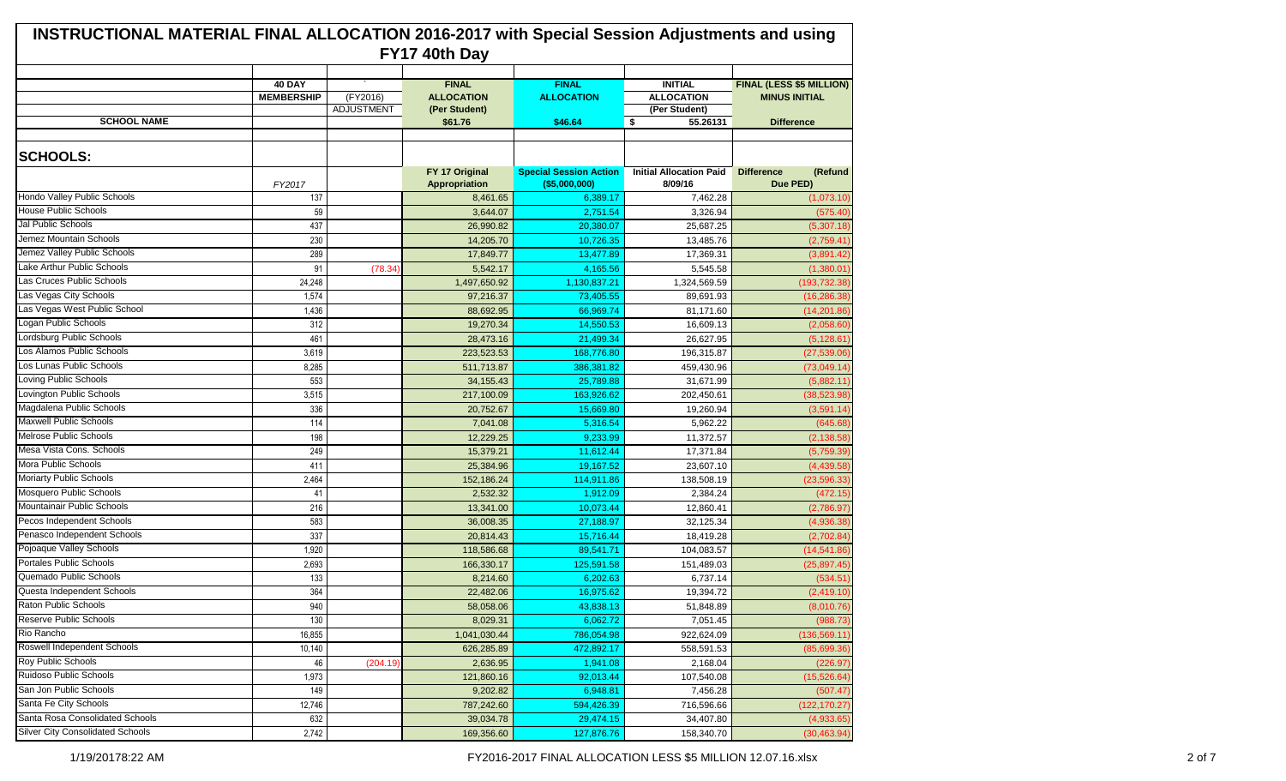| <b>INSTRUCTIONAL MATERIAL FINAL ALLOCATION 2016-2017 with Special Session Adjustments and using</b><br>FY17 40th Day |                                    |                        |                                                    |                                   |                                                      |                                                  |  |  |
|----------------------------------------------------------------------------------------------------------------------|------------------------------------|------------------------|----------------------------------------------------|-----------------------------------|------------------------------------------------------|--------------------------------------------------|--|--|
|                                                                                                                      | <b>40 DAY</b><br><b>MEMBERSHIP</b> | (FY2016)<br>ADJUSTMENT | <b>FINAL</b><br><b>ALLOCATION</b><br>(Per Student) | <b>FINAL</b><br><b>ALLOCATION</b> | <b>INITIAL</b><br><b>ALLOCATION</b><br>(Per Student) | FINAL (LESS \$5 MILLION)<br><b>MINUS INITIAL</b> |  |  |
| <b>SCHOOL NAME</b>                                                                                                   |                                    |                        | \$61.76                                            | \$46.64                           | $\sqrt{2}$<br>55.26131                               | <b>Difference</b>                                |  |  |
| <b>SCHOOLS:</b>                                                                                                      |                                    |                        | FY 17 Original                                     | <b>Special Session Action</b>     | <b>Initial Allocation Paid</b>                       | <b>Difference</b><br>(Refund                     |  |  |
|                                                                                                                      | FY2017                             |                        | Appropriation                                      | $($ \$5,000,000)                  | 8/09/16                                              | Due PED)                                         |  |  |
| <b>Hondo Valley Public Schools</b>                                                                                   | 137                                |                        | 8,461.65                                           | 6,389.17                          | 7,462.28                                             | (1,073.10)                                       |  |  |
| <b>House Public Schools</b>                                                                                          | 59                                 |                        | 3,644.07                                           | 2,751.54                          | 3,326.94                                             | (575.40)                                         |  |  |
| Jal Public Schools                                                                                                   | 437                                |                        | 26,990.82                                          | 20,380.07                         | 25,687.25                                            | (5,307.18)                                       |  |  |
| Jemez Mountain Schools                                                                                               | 230                                |                        | 14,205.70                                          | 10,726.35                         | 13,485.76                                            | (2,759.41)                                       |  |  |
| Jemez Valley Public Schools                                                                                          | 289                                |                        | 17.849.77                                          | 13,477.89                         | 17,369.31                                            | (3,891.42)                                       |  |  |
| Lake Arthur Public Schools                                                                                           | 91                                 | (78.34)                | 5,542.17                                           | 4,165.56                          | 5,545.58                                             | (1,380.01)                                       |  |  |
| Las Cruces Public Schools                                                                                            | 24,248                             |                        | 1,497,650.92                                       | 1,130,837.21                      | 1,324,569.59                                         | (193, 732.38)                                    |  |  |
| Las Vegas City Schools                                                                                               | 1,574                              |                        | 97,216.37                                          | 73,405.55                         | 89.691.93                                            | (16, 286.38)                                     |  |  |
| Las Vegas West Public School                                                                                         | 1,436                              |                        | 88,692.95                                          | 66,969.74                         | 81,171.60                                            | (14, 201.86)                                     |  |  |
| Logan Public Schools                                                                                                 | 312                                |                        | 19,270.34                                          | 14,550.53                         | 16,609.13                                            | (2,058.60)                                       |  |  |
| Lordsburg Public Schools                                                                                             | 461                                |                        | 28,473.16                                          | 21,499.34                         | 26,627.95                                            | (5, 128.61)                                      |  |  |
| Los Alamos Public Schools                                                                                            | 3,619                              |                        | 223,523.53                                         | 168,776.80                        | 196,315.87                                           | (27, 539.06)                                     |  |  |
| Los Lunas Public Schools                                                                                             | 8,285                              |                        | 511,713.87                                         | 386,381.82                        | 459,430.96                                           | (73,049.14)                                      |  |  |
| Loving Public Schools                                                                                                | 553                                |                        | 34, 155. 43                                        | 25,789.88                         | 31,671.99                                            | (5,882.11)                                       |  |  |
| Lovington Public Schools                                                                                             | 3,515                              |                        | 217,100.09                                         | 163,926.62                        | 202,450.61                                           | (38, 523.98)                                     |  |  |
| Magdalena Public Schools                                                                                             | 336                                |                        | 20,752.67                                          | 15,669.80                         | 19,260.94                                            | (3,591.14)                                       |  |  |
| <b>Maxwell Public Schools</b>                                                                                        | 114                                |                        | 7,041.08                                           | 5,316.54                          | 5,962.22                                             | (645.68)                                         |  |  |
| <b>Melrose Public Schools</b>                                                                                        | 198                                |                        | 12,229.25                                          | 9,233.99                          | 11,372.57                                            | (2, 138.58)                                      |  |  |
| Mesa Vista Cons. Schools                                                                                             | 249                                |                        | 15,379.21                                          | 11,612.44                         | 17,371.84                                            | (5,759.39)                                       |  |  |
| Mora Public Schools                                                                                                  | 411                                |                        | 25,384.96                                          | 19,167.52                         | 23,607.10                                            | (4,439.58)                                       |  |  |
| <b>Moriarty Public Schools</b>                                                                                       | 2,464                              |                        | 152,186.24                                         | 114,911.86                        | 138,508.19                                           | (23, 596.33)                                     |  |  |
| Mosquero Public Schools                                                                                              | 41                                 |                        | 2,532.32                                           | 1,912.09                          | 2,384.24                                             | (472.15)                                         |  |  |
| Mountainair Public Schools                                                                                           | 216                                |                        | 13,341.00                                          | 10,073.44                         | 12,860.41                                            | (2,786.97)                                       |  |  |
| Pecos Independent Schools                                                                                            | 583                                |                        | 36,008.35                                          | 27,188.97                         | 32,125.34                                            | (4,936.38)                                       |  |  |
| Penasco Independent Schools                                                                                          | 337                                |                        | 20,814.43                                          | 15,716.44                         | 18,419.28                                            | (2,702.84)                                       |  |  |
| Pojoaque Valley Schools                                                                                              | 1,920                              |                        | 118,586.68                                         | 89,541.71                         | 104,083.57                                           | (14, 541.86)                                     |  |  |
| <b>Portales Public Schools</b>                                                                                       | 2,693                              |                        | 166,330.17                                         | 125,591.58                        | 151,489.03                                           | (25, 897.45)                                     |  |  |
| Quemado Public Schools                                                                                               | 133                                |                        | 8,214.60                                           | 6,202.63                          | 6,737.14                                             | (534.51)                                         |  |  |
| Questa Independent Schools                                                                                           | 364                                |                        | 22,482.06                                          | 16,975.62                         | 19,394.72                                            | (2,419.10)                                       |  |  |
| Raton Public Schools                                                                                                 | 940                                |                        | 58,058.06                                          | 43,838.13                         | 51,848.89                                            | (8,010.76)                                       |  |  |
| Reserve Public Schools                                                                                               | 130                                |                        | 8,029.31                                           | 6,062.72                          | 7,051.45                                             | (988.73)                                         |  |  |
| Rio Rancho                                                                                                           | 16,855                             |                        | 1,041,030.44                                       | 786,054.98                        | 922,624.09                                           | (136, 569.11)                                    |  |  |
| Roswell Independent Schools                                                                                          | 10,140                             |                        | 626,285.89                                         | 472,892.17                        | 558,591.53                                           | (85,699.36)                                      |  |  |
| Roy Public Schools                                                                                                   | 46                                 | (204.19)               | 2,636.95                                           | 1,941.08                          | 2,168.04                                             | (226.97)                                         |  |  |
| Ruidoso Public Schools                                                                                               | 1,973                              |                        | 121,860.16                                         | 92,013.44                         | 107,540.08                                           | (15, 526.64)                                     |  |  |
| San Jon Public Schools                                                                                               | 149                                |                        | 9,202.82                                           | 6,948.81                          | 7,456.28                                             | (507.47)                                         |  |  |
| Santa Fe City Schools                                                                                                | 12,746                             |                        | 787,242.60                                         | 594,426.39                        | 716,596.66                                           | (122, 170.27)                                    |  |  |
| Santa Rosa Consolidated Schools                                                                                      | 632                                |                        | 39,034.78                                          | 29,474.15                         | 34,407.80                                            | (4,933.65)                                       |  |  |
| <b>Silver City Consolidated Schools</b>                                                                              | 2,742                              |                        | 169,356.60                                         | 127,876.76                        | 158,340.70                                           | (30, 463.94)                                     |  |  |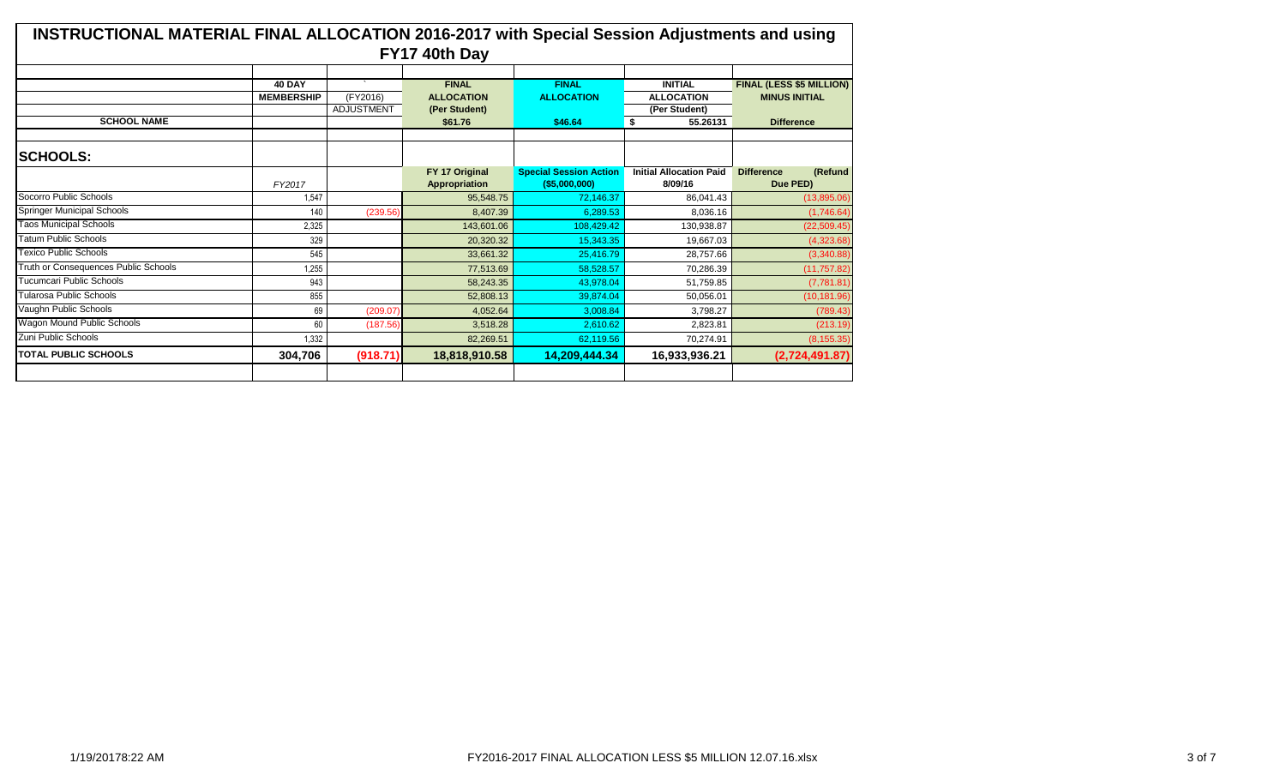| INSTRUCTIONAL MATERIAL FINAL ALLOCATION 2016-2017 with Special Session Adjustments and using<br>FY17 40th Day |                   |                   |                   |                               |                                |                              |  |  |
|---------------------------------------------------------------------------------------------------------------|-------------------|-------------------|-------------------|-------------------------------|--------------------------------|------------------------------|--|--|
|                                                                                                               |                   |                   |                   |                               |                                |                              |  |  |
|                                                                                                               | <b>40 DAY</b>     |                   | <b>FINAL</b>      | <b>FINAL</b>                  | <b>INITIAL</b>                 | FINAL (LESS \$5 MILLION)     |  |  |
|                                                                                                               | <b>MEMBERSHIP</b> | (FY2016)          | <b>ALLOCATION</b> | <b>ALLOCATION</b>             | <b>ALLOCATION</b>              | <b>MINUS INITIAL</b>         |  |  |
|                                                                                                               |                   | <b>ADJUSTMENT</b> | (Per Student)     |                               | (Per Student)                  |                              |  |  |
| <b>SCHOOL NAME</b>                                                                                            |                   |                   | \$61.76           | \$46.64                       | 55.26131<br>\$                 | <b>Difference</b>            |  |  |
|                                                                                                               |                   |                   |                   |                               |                                |                              |  |  |
| <b>SCHOOLS:</b>                                                                                               |                   |                   |                   |                               |                                |                              |  |  |
|                                                                                                               |                   |                   | FY 17 Original    | <b>Special Session Action</b> | <b>Initial Allocation Paid</b> | <b>Difference</b><br>(Refund |  |  |
|                                                                                                               | FY2017            |                   | Appropriation     | $($ \$5,000,000)              | 8/09/16                        | Due PED)                     |  |  |
| Socorro Public Schools                                                                                        | 1,547             |                   | 95,548.75         | 72,146.37                     | 86.041.43                      | (13,895.06)                  |  |  |
| <b>Springer Municipal Schools</b>                                                                             | 140               | (239.56)          | 8.407.39          | 6.289.53                      | 8.036.16                       | (1,746.64)                   |  |  |
| <b>Taos Municipal Schools</b>                                                                                 | 2,325             |                   | 143,601.06        | 108.429.42                    | 130,938.87                     | (22, 509.45)                 |  |  |
| <b>Tatum Public Schools</b>                                                                                   | 329               |                   | 20,320.32         | 15,343.35                     | 19,667.03                      | (4,323.68)                   |  |  |
| Texico Public Schools                                                                                         | 545               |                   | 33,661.32         | 25,416.79                     | 28,757.66                      | (3,340.88)                   |  |  |
| Truth or Consequences Public Schools                                                                          | 1,255             |                   | 77,513.69         | 58,528.57                     | 70,286.39                      | (11, 757.82)                 |  |  |
| Tucumcari Public Schools                                                                                      | 943               |                   | 58.243.35         | 43.978.04                     | 51,759.85                      | (7,781.81)                   |  |  |
| <b>Tularosa Public Schools</b>                                                                                | 855               |                   | 52,808.13         | 39.874.04                     | 50,056.01                      | (10, 181.96)                 |  |  |
| Vaughn Public Schools                                                                                         | 69                | (209.07)          | 4,052.64          | 3.008.84                      | 3.798.27                       | (789.43)                     |  |  |
| <b>Wagon Mound Public Schools</b>                                                                             | 60                | (187.56)          | 3.518.28          | 2.610.62                      | 2.823.81                       | (213.19)                     |  |  |
| Zuni Public Schools                                                                                           | 1,332             |                   | 82,269.51         | 62,119.56                     | 70,274.91                      | (8, 155.35)                  |  |  |
| <b>ITOTAL PUBLIC SCHOOLS</b>                                                                                  | 304,706           | (918.71)          | 18,818,910.58     | 14,209,444.34                 | 16,933,936.21                  | (2,724,491.87)               |  |  |
|                                                                                                               |                   |                   |                   |                               |                                |                              |  |  |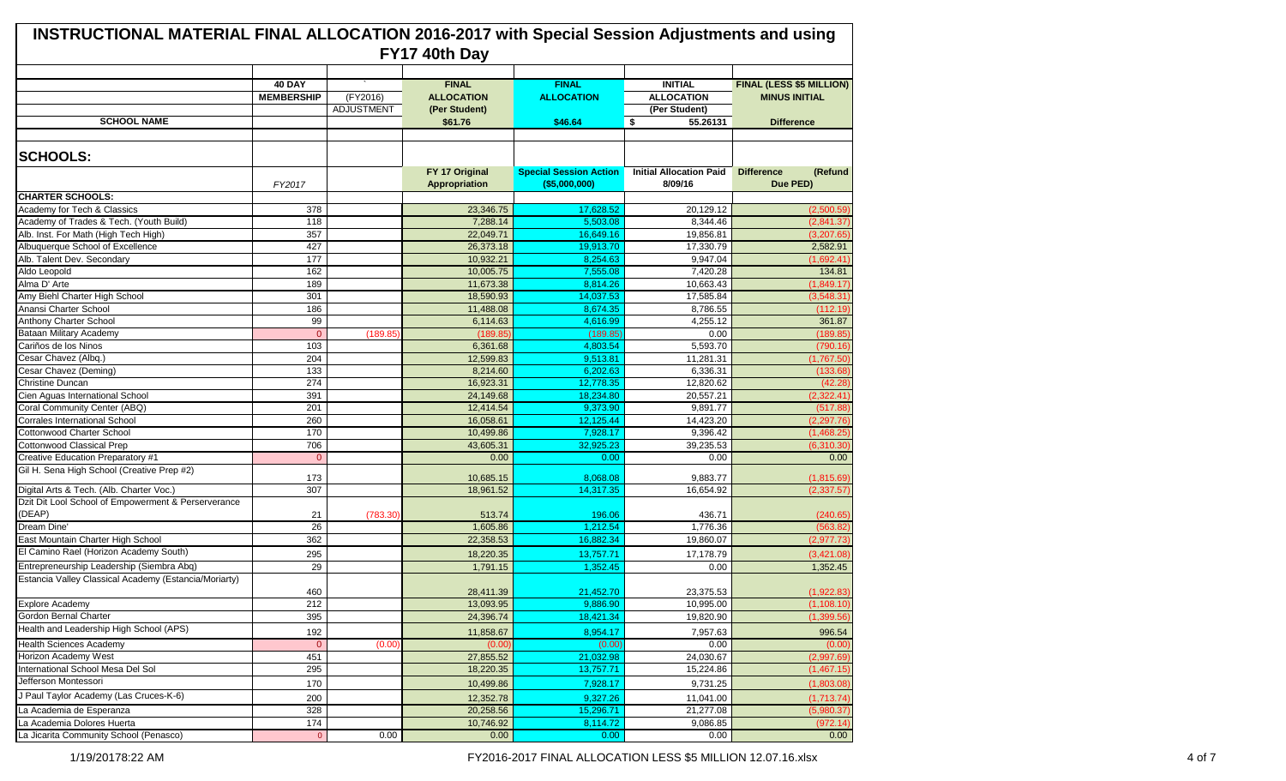| INSTRUCTIONAL MATERIAL FINAL ALLOCATION 2016-2017 with Special Session Adjustments and using<br>FY17 40th Day |                                    |                        |                                                    |                                   |                                                      |                                                  |  |  |
|---------------------------------------------------------------------------------------------------------------|------------------------------------|------------------------|----------------------------------------------------|-----------------------------------|------------------------------------------------------|--------------------------------------------------|--|--|
|                                                                                                               | <b>40 DAY</b><br><b>MEMBERSHIP</b> | (FY2016)<br>ADJUSTMENT | <b>FINAL</b><br><b>ALLOCATION</b><br>(Per Student) | <b>FINAL</b><br><b>ALLOCATION</b> | <b>INITIAL</b><br><b>ALLOCATION</b><br>(Per Student) | FINAL (LESS \$5 MILLION)<br><b>MINUS INITIAL</b> |  |  |
| <b>SCHOOL NAME</b>                                                                                            |                                    |                        | \$61.76                                            | \$46.64                           | 55.26131<br><b>S</b>                                 | <b>Difference</b>                                |  |  |
| <b>SCHOOLS:</b>                                                                                               |                                    |                        | FY 17 Original                                     | <b>Special Session Action</b>     | <b>Initial Allocation Paid</b>                       | <b>Difference</b><br>(Refund                     |  |  |
|                                                                                                               | FY2017                             |                        | <b>Appropriation</b>                               | $($ \$5,000,000)                  | 8/09/16                                              | Due PED)                                         |  |  |
| <b>CHARTER SCHOOLS:</b>                                                                                       |                                    |                        |                                                    |                                   |                                                      |                                                  |  |  |
| Academy for Tech & Classics                                                                                   | 378                                |                        | 23,346.75                                          | 17,628.52                         | 20,129.12                                            | (2,500.59)                                       |  |  |
| Academy of Trades & Tech. (Youth Build)                                                                       | 118                                |                        | 7,288.14                                           | 5,503.08                          | 8,344.46                                             | (2,841.37)                                       |  |  |
| Alb. Inst. For Math (High Tech High)                                                                          | 357                                |                        | 22,049.71                                          | 16,649.16                         | 19,856.81                                            | (3,207.65)                                       |  |  |
| Albuquerque School of Excellence                                                                              | 427                                |                        | 26,373.18                                          | 19,913.70                         | 17,330.79                                            | 2,582.91                                         |  |  |
| Alb. Talent Dev. Secondary                                                                                    | 177                                |                        | 10.932.21                                          | 8,254.63                          | 9,947.04                                             | (1,692.41)                                       |  |  |
| Aldo Leopold                                                                                                  | 162                                |                        | 10,005.75                                          | 7,555.08                          | 7,420.28                                             | 134.81                                           |  |  |
| Alma D' Arte                                                                                                  | 189                                |                        | 11,673.38                                          | 8,814.26                          | 10,663.43                                            | (1,849.17)                                       |  |  |
| Amy Biehl Charter High School                                                                                 | 301                                |                        | 18,590.93                                          | 14,037.53                         | 17,585.84                                            | (3,548.31)                                       |  |  |
| Anansi Charter School                                                                                         | 186                                |                        | 11,488.08                                          | 8,674.35                          | 8,786.55                                             | (112.19)                                         |  |  |
| Anthony Charter School                                                                                        | 99                                 |                        | 6,114.63                                           | 4,616.99                          | 4,255.12                                             | 361.87                                           |  |  |
| Bataan Military Academy                                                                                       | $\Omega$                           | (189.85)               | (189.85)                                           | (189.85)                          | 0.00                                                 | (189.85)                                         |  |  |
| Cariños de los Ninos                                                                                          | 103                                |                        | 6,361.68                                           | 4,803.54                          | 5,593.70                                             | (790.16)                                         |  |  |
| Cesar Chavez (Albq.)                                                                                          | 204                                |                        | 12,599.83                                          | 9,513.81                          | 11,281.31                                            | (1,767.50)                                       |  |  |
| Cesar Chavez (Deming)                                                                                         | 133                                |                        | 8,214.60                                           | 6,202.63                          | 6,336.31                                             | (133.68)                                         |  |  |
| <b>Christine Duncan</b>                                                                                       | 274                                |                        | 16,923.31                                          | 12,778.35                         | 12,820.62                                            | (42.28)                                          |  |  |
| Cien Aguas International School                                                                               | 391                                |                        | 24,149.68                                          | 18,234.80                         | 20,557.21                                            | (2,322.41)                                       |  |  |
| Coral Community Center (ABQ)                                                                                  | 201                                |                        | 12,414.54                                          | 9,373.90                          | 9,891.77                                             | (517.88)                                         |  |  |
| <b>Corrales International School</b>                                                                          | 260                                |                        | 16,058.61                                          | 12,125.44                         | 14,423.20                                            | (2, 297.76)                                      |  |  |
| <b>Cottonwood Charter School</b>                                                                              | 170                                |                        | 10,499.86                                          | 7,928.17                          | 9,396.42                                             | (1,468.25)                                       |  |  |
| Cottonwood Classical Prep                                                                                     | 706                                |                        | 43,605.31                                          | 32.925.23                         | 39,235.53                                            | (6,310.30)                                       |  |  |
| Creative Education Preparatory #1                                                                             | $\overline{0}$                     |                        | 0.00                                               | 0.00                              | 0.00                                                 | 0.00                                             |  |  |
| Gil H. Sena High School (Creative Prep #2)                                                                    | 173                                |                        | 10,685.15                                          | 8,068.08                          | 9,883.77                                             | (1,815.69)                                       |  |  |
| Digital Arts & Tech. (Alb. Charter Voc.)                                                                      | 307                                |                        | 18,961.52                                          | 14.317.35                         | 16,654.92                                            | (2, 337.57)                                      |  |  |
| Dzit Dit Lool School of Empowerment & Perserverance                                                           |                                    |                        |                                                    |                                   |                                                      |                                                  |  |  |
| (DEAP)                                                                                                        | 21                                 | (783.30)               | 513.74                                             | 196.06                            | 436.71                                               | (240.65)                                         |  |  |
| Dream Dine'                                                                                                   | 26                                 |                        | 1,605.86                                           | 1,212.54                          | 1,776.36                                             | (563.82)                                         |  |  |
| East Mountain Charter High School                                                                             | 362                                |                        | 22,358.53                                          | 16,882.34                         | 19,860.07                                            | (2, 977.73)                                      |  |  |
| El Camino Rael (Horizon Academy South)                                                                        | 295                                |                        | 18,220.35                                          | 13,757.71                         | 17,178.79                                            | (3,421.08)                                       |  |  |
| Entrepreneurship Leadership (Siembra Abq)<br>Estancia Valley Classical Academy (Estancia/Moriarty)            | 29<br>460                          |                        | 1,791.15<br>28,411.39                              | 1,352.45<br>21,452.70             | 0.00<br>23,375.53                                    | 1,352.45<br>(1,922.83)                           |  |  |
| Explore Academy                                                                                               | 212                                |                        | 13,093.95                                          | 9,886.90                          | 10,995.00                                            | (1, 108.10)                                      |  |  |
| Gordon Bernal Charter                                                                                         | 395                                |                        | 24,396.74                                          | 18,421.34                         | 19,820.90                                            | (1,399.56)                                       |  |  |
| Health and Leadership High School (APS)                                                                       |                                    |                        |                                                    |                                   |                                                      |                                                  |  |  |
| <b>Health Sciences Academy</b>                                                                                | 192<br>$\mathbf 0$                 | (0.00)                 | 11,858.67                                          | 8,954.17<br>(0.00)                | 7,957.63<br>0.00                                     | 996.54<br>(0.00)                                 |  |  |
| Horizon Academy West                                                                                          | 451                                |                        | (0.00)<br>27,855.52                                | 21,032.98                         | 24,030.67                                            | (2,997.69)                                       |  |  |
| International School Mesa Del Sol                                                                             |                                    |                        |                                                    |                                   |                                                      |                                                  |  |  |
| Jefferson Montessori                                                                                          | 295                                |                        | 18,220.35                                          | 13,757.71                         | 15,224.86                                            | (1,467.15)                                       |  |  |
|                                                                                                               | 170                                |                        | 10,499.86                                          | 7,928.17                          | 9,731.25                                             | (1,803.08)                                       |  |  |
| J Paul Taylor Academy (Las Cruces-K-6)                                                                        | 200                                |                        | 12,352.78                                          | 9,327.26                          | 11,041.00                                            | (1,713.74)                                       |  |  |
| La Academia de Esperanza                                                                                      | 328                                |                        | 20,258.56                                          | 15,296.71                         | 21,277.08                                            | (5,980.37)                                       |  |  |
| La Academia Dolores Huerta                                                                                    | 174                                |                        | 10,746.92                                          | 8,114.72                          | 9,086.85                                             | (972.14)                                         |  |  |
| La Jicarita Community School (Penasco)                                                                        | $\overline{0}$                     | 0.00                   | 0.00                                               | 0.00                              | 0.00                                                 | 0.00                                             |  |  |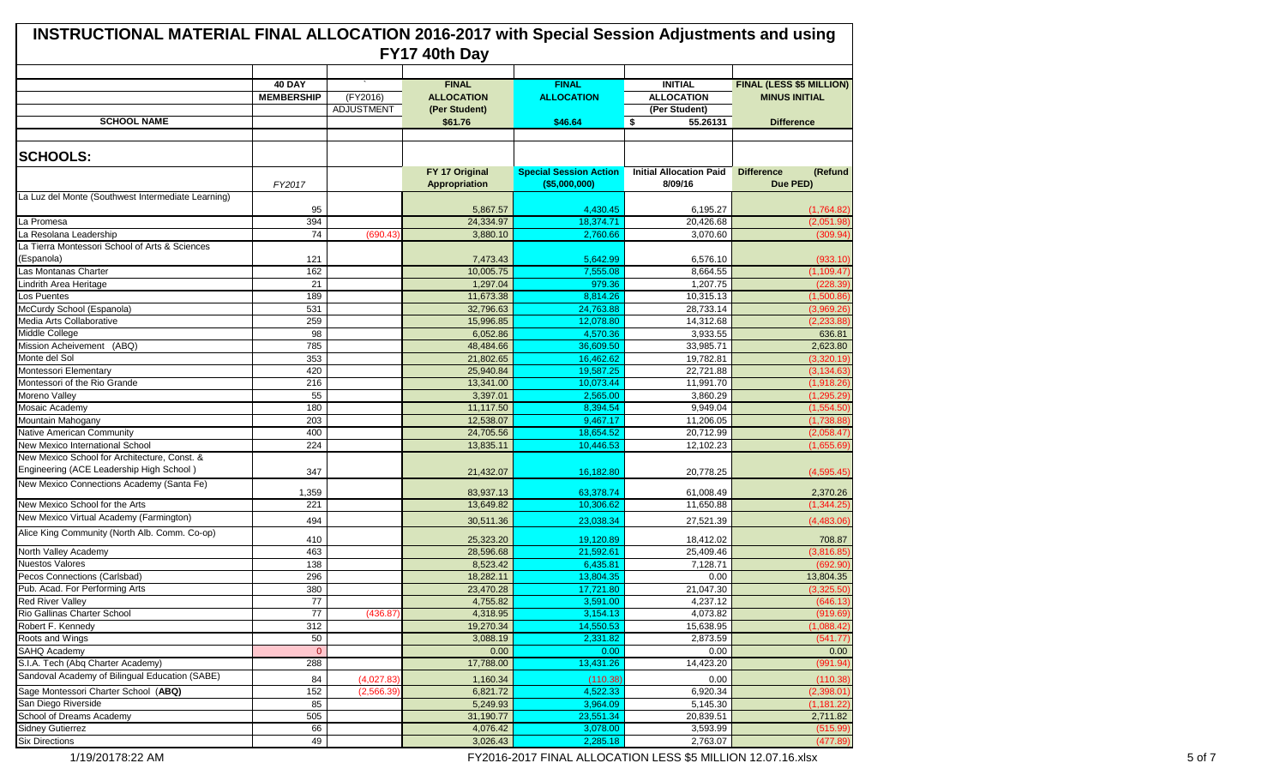| <b>INSTRUCTIONAL MATERIAL FINAL ALLOCATION 2016-2017 with Special Session Adjustments and using</b><br>FY17 40th Day |                                    |            |                                        |                                                 |                                           |                                                         |  |
|----------------------------------------------------------------------------------------------------------------------|------------------------------------|------------|----------------------------------------|-------------------------------------------------|-------------------------------------------|---------------------------------------------------------|--|
|                                                                                                                      |                                    |            |                                        |                                                 |                                           |                                                         |  |
|                                                                                                                      | <b>40 DAY</b><br><b>MEMBERSHIP</b> | (FY2016)   | <b>FINAL</b><br><b>ALLOCATION</b>      | <b>FINAL</b><br><b>ALLOCATION</b>               | <b>INITIAL</b><br><b>ALLOCATION</b>       | <b>FINAL (LESS \$5 MILLION)</b><br><b>MINUS INITIAL</b> |  |
|                                                                                                                      |                                    | ADJUSTMENT | (Per Student)                          |                                                 | (Per Student)                             |                                                         |  |
| <b>SCHOOL NAME</b>                                                                                                   |                                    |            | \$61.76                                | \$46.64                                         | <b>S</b><br>55.26131                      | <b>Difference</b>                                       |  |
| <b>SCHOOLS:</b>                                                                                                      |                                    |            |                                        |                                                 |                                           |                                                         |  |
|                                                                                                                      | FY2017                             |            | FY 17 Original<br><b>Appropriation</b> | <b>Special Session Action</b><br>( \$5,000,000) | <b>Initial Allocation Paid</b><br>8/09/16 | <b>Difference</b><br>(Refund<br>Due PED)                |  |
| La Luz del Monte (Southwest Intermediate Learning)                                                                   |                                    |            |                                        |                                                 |                                           |                                                         |  |
|                                                                                                                      | 95                                 |            | 5,867.57                               | 4,430.45                                        | 6,195.27                                  | (1,764.82)                                              |  |
| La Promesa                                                                                                           | 394                                |            | 24,334.97                              | 18,374.71                                       | 20,426.68                                 | (2,051.98)                                              |  |
| La Resolana Leadership                                                                                               | 74                                 | (690.43)   | 3,880.10                               | 2,760.66                                        | 3,070.60                                  | (309.94)                                                |  |
| La Tierra Montessori School of Arts & Sciences                                                                       |                                    |            |                                        |                                                 |                                           |                                                         |  |
| (Espanola)                                                                                                           | 121                                |            | 7,473.43                               | 5,642.99                                        | 6,576.10                                  | (933.10)                                                |  |
| Las Montanas Charter                                                                                                 | 162                                |            | 10,005.75                              | 7,555.08                                        | 8,664.55                                  | (1, 109.47)                                             |  |
| Lindrith Area Heritage                                                                                               | 21                                 |            | 1,297.04                               | 979.36                                          | 1.207.75                                  | (228.39)                                                |  |
| Los Puentes                                                                                                          | 189                                |            | 11,673.38                              | 8,814.26                                        | 10,315.13                                 | (1,500.86)                                              |  |
| McCurdy School (Espanola)                                                                                            | 531                                |            | 32,796.63                              | 24,763.88                                       | 28,733.14                                 | (3,969.26)                                              |  |
| Media Arts Collaborative                                                                                             | 259                                |            | 15,996.85                              | 12,078.80                                       | 14,312.68                                 | (2, 233.88)                                             |  |
| Middle College                                                                                                       | 98                                 |            | 6,052.86                               | 4,570.36                                        | 3,933.55                                  | 636.81                                                  |  |
| Mission Acheivement (ABQ)                                                                                            | 785                                |            | 48,484.66                              | 36,609.50                                       | 33,985.71                                 | 2,623.80                                                |  |
| Monte del Sol                                                                                                        | 353                                |            | 21,802.65                              | 16,462.62                                       | 19,782.81                                 | (3,320.19)                                              |  |
| Montessori Elementary                                                                                                | 420                                |            | 25,940.84                              | 19,587.25                                       | 22,721.88                                 | (3, 134.63)                                             |  |
| Montessori of the Rio Grande                                                                                         | 216                                |            | 13,341.00                              | 10,073.44                                       | 11,991.70                                 | (1,918.26)                                              |  |
| Moreno Valley                                                                                                        | 55                                 |            | 3,397.01                               | 2,565.00                                        | 3,860.29                                  | (1, 295.29)                                             |  |
| Mosaic Academy                                                                                                       | 180                                |            | 11,117.50                              | 8,394.54                                        | 9,949.04                                  | (1,554.50)                                              |  |
| Mountain Mahogany                                                                                                    | 203                                |            | 12,538.07                              | 9,467.17                                        | 11,206.05                                 | (1,738.88)                                              |  |
| Native American Community                                                                                            | 400                                |            | 24,705.56                              | 18,654.52                                       | 20,712.99                                 | (2,058.47)                                              |  |
| New Mexico International School                                                                                      | 224                                |            | 13,835.11                              | 10,446.53                                       | 12,102.23                                 | (1,655.69)                                              |  |
| New Mexico School for Architecture, Const. &<br>Engineering (ACE Leadership High School)                             |                                    |            |                                        |                                                 |                                           |                                                         |  |
| New Mexico Connections Academy (Santa Fe)                                                                            | 347<br>1,359                       |            | 21,432.07<br>83,937.13                 | 16,182.80<br>63.378.74                          | 20,778.25<br>61,008.49                    | (4,595.45)                                              |  |
| New Mexico School for the Arts                                                                                       | 221                                |            | 13,649.82                              | 10,306.62                                       | 11,650.88                                 | 2,370.26<br>(1, 344.25)                                 |  |
| New Mexico Virtual Academy (Farmington)                                                                              |                                    |            |                                        |                                                 |                                           |                                                         |  |
| Alice King Community (North Alb. Comm. Co-op)                                                                        | 494                                |            | 30,511.36                              | 23,038.34                                       | 27,521.39                                 | (4,483.06)                                              |  |
|                                                                                                                      | 410                                |            | 25,323.20                              | 19,120.89                                       | 18,412.02                                 | 708.87                                                  |  |
| North Valley Academy                                                                                                 | 463                                |            | 28,596.68                              | 21,592.61                                       | 25,409.46                                 | (3,816.85)                                              |  |
| <b>Nuestos Valores</b>                                                                                               | 138                                |            | 8,523.42                               | 6,435.81                                        | 7,128.71                                  | (692.90)                                                |  |
| Pecos Connections (Carlsbad)                                                                                         | 296                                |            | 18,282.11                              | 13,804.35                                       | 0.00                                      | 13,804.35                                               |  |
| Pub. Acad. For Performing Arts                                                                                       | 380                                |            | 23,470.28                              | 17,721.80                                       | 21,047.30                                 | (3,325.50)                                              |  |
| <b>Red River Valley</b>                                                                                              | 77                                 |            | 4,755.82                               | 3,591.00                                        | 4,237.12                                  | (646.13)                                                |  |
| Rio Gallinas Charter School                                                                                          | 77                                 | (436.87)   | 4,318.95                               | 3,154.13                                        | 4,073.82                                  | (919.69)                                                |  |
| Robert F. Kennedy                                                                                                    | 312                                |            | 19,270.34                              | 14,550.53                                       | 15,638.95                                 | (1,088.42)                                              |  |
| Roots and Wings                                                                                                      | 50                                 |            | 3,088.19                               | 2,331.82                                        | 2,873.59                                  | (541.77)                                                |  |
| SAHQ Academy                                                                                                         | $\overline{0}$                     |            | 0.00                                   | 0.00                                            | 0.00                                      | 0.00 <sub>1</sub>                                       |  |
| S.I.A. Tech (Abq Charter Academy)                                                                                    | 288                                |            | 17,788.00                              | 13,431.26                                       | 14,423.20                                 | (991.94)                                                |  |
| Sandoval Academy of Bilingual Education (SABE)                                                                       | 84                                 | (4,027.83) | 1,160.34                               | (110.38)                                        | 0.00                                      | (110.38)                                                |  |
| Sage Montessori Charter School (ABQ)                                                                                 | 152                                | (2,566.39) | 6,821.72                               | 4,522.33                                        | 6,920.34                                  | (2, 398.01)                                             |  |
| San Diego Riverside                                                                                                  | 85                                 |            | 5,249.93                               | 3,964.09                                        | 5,145.30                                  | (1, 181.22)                                             |  |
| School of Dreams Academy                                                                                             | 505                                |            | 31,190.77                              | 23,551.34                                       | 20,839.51                                 | 2,711.82                                                |  |
| Sidney Gutierrez                                                                                                     | 66                                 |            | 4,076.42                               | 3,078.00                                        | 3,593.99                                  | (515.99)                                                |  |
| <b>Six Directions</b>                                                                                                | 49                                 |            | 3,026.43                               | 2,285.18                                        | 2,763.07                                  | (477.89)                                                |  |

1/19/20178:22 AM **FY2016-2017 FINAL ALLOCATION LESS \$5 MILLION 12.07.16.xlsx** 5 of 7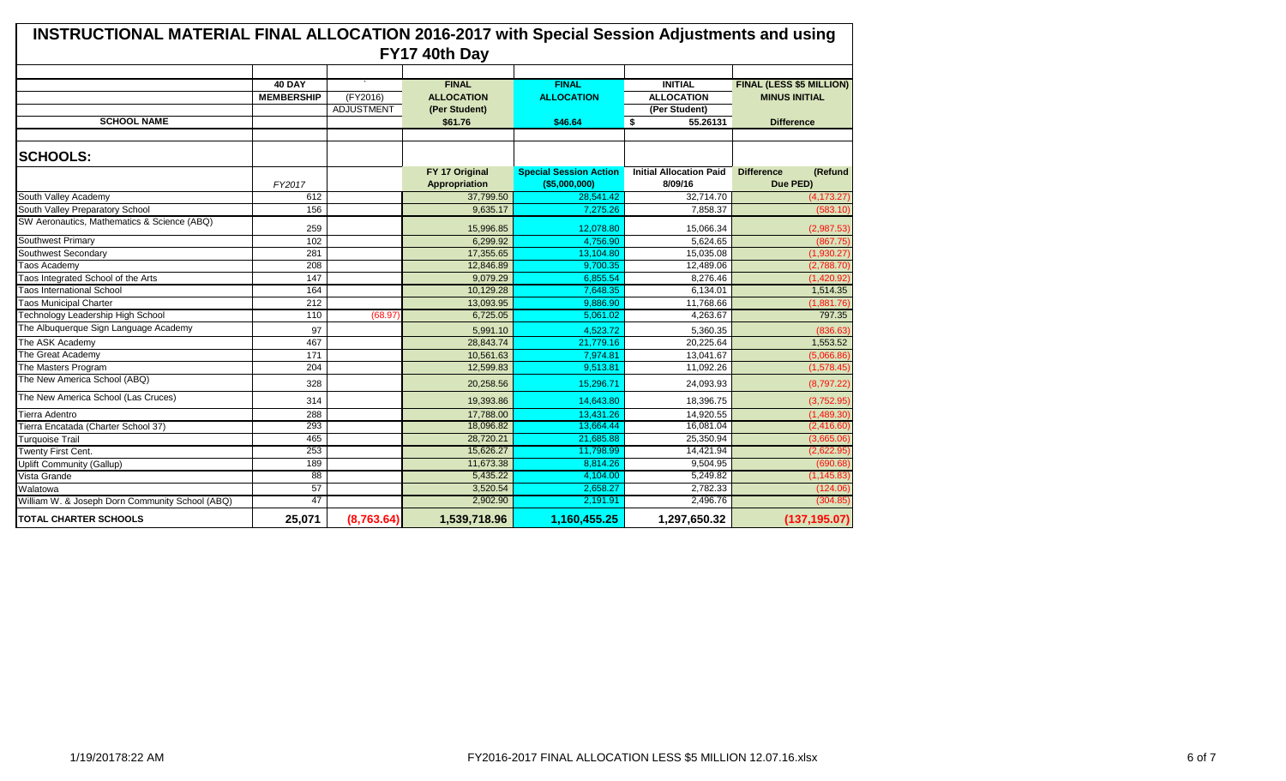| <b>INSTRUCTIONAL MATERIAL FINAL ALLOCATION 2016-2017 with Special Session Adjustments and using</b><br>FY17 40th Day |                   |                   |                                        |                                                 |                                           |                                          |  |  |
|----------------------------------------------------------------------------------------------------------------------|-------------------|-------------------|----------------------------------------|-------------------------------------------------|-------------------------------------------|------------------------------------------|--|--|
|                                                                                                                      |                   |                   |                                        |                                                 |                                           |                                          |  |  |
|                                                                                                                      | <b>40 DAY</b>     |                   | <b>FINAL</b>                           | <b>FINAL</b>                                    | <b>INITIAL</b>                            | FINAL (LESS \$5 MILLION)                 |  |  |
|                                                                                                                      | <b>MEMBERSHIP</b> | (FY2016)          | <b>ALLOCATION</b>                      | <b>ALLOCATION</b>                               | <b>ALLOCATION</b>                         | <b>MINUS INITIAL</b>                     |  |  |
|                                                                                                                      |                   | <b>ADJUSTMENT</b> | (Per Student)                          |                                                 | (Per Student)                             |                                          |  |  |
| <b>SCHOOL NAME</b>                                                                                                   |                   |                   | \$61.76                                | \$46.64                                         | \$<br>55.26131                            | <b>Difference</b>                        |  |  |
|                                                                                                                      |                   |                   |                                        |                                                 |                                           |                                          |  |  |
| <b>SCHOOLS:</b>                                                                                                      |                   |                   |                                        |                                                 |                                           |                                          |  |  |
|                                                                                                                      | FY2017            |                   | FY 17 Original<br><b>Appropriation</b> | <b>Special Session Action</b><br>( \$5,000,000) | <b>Initial Allocation Paid</b><br>8/09/16 | <b>Difference</b><br>(Refund<br>Due PED) |  |  |
| South Valley Academy                                                                                                 | 612               |                   | 37,799.50                              | 28,541.42                                       | 32,714.70                                 | (4, 173.27)                              |  |  |
| South Valley Preparatory School                                                                                      | 156               |                   | 9,635.17                               | 7,275.26                                        | 7.858.37                                  | (583.10)                                 |  |  |
| SW Aeronautics, Mathematics & Science (ABQ)                                                                          | 259               |                   | 15,996.85                              | 12,078.80                                       | 15,066.34                                 | (2,987.53)                               |  |  |
| <b>Southwest Primary</b>                                                                                             | 102               |                   | 6,299.92                               | 4,756.90                                        | 5,624.65                                  | (867.75)                                 |  |  |
| Southwest Secondary                                                                                                  | 281               |                   | 17,355.65                              | 13,104.80                                       | 15,035.08                                 | (1,930.27)                               |  |  |
| Taos Academy                                                                                                         | 208               |                   | 12,846.89                              | 9,700.35                                        | 12,489.06                                 | (2,788.70)                               |  |  |
| Taos Integrated School of the Arts                                                                                   | 147               |                   | 9,079.29                               | 6.855.54                                        | 8,276.46                                  | (1,420.92)                               |  |  |
| <b>Taos International School</b>                                                                                     | 164               |                   | 10,129.28                              | 7,648.35                                        | 6,134.01                                  | 1,514.35                                 |  |  |
| <b>Taos Municipal Charter</b>                                                                                        | 212               |                   | 13,093.95                              | 9,886.90                                        | 11,768.66                                 | (1,881.76)                               |  |  |
| <b>Technology Leadership High School</b>                                                                             | 110               | (68.97            | 6,725.05                               | 5.061.02                                        | 4.263.67                                  | 797.35                                   |  |  |
| The Albuquerque Sign Language Academy                                                                                | 97                |                   | 5,991.10                               | 4,523.72                                        | 5,360.35                                  | (836.63)                                 |  |  |
| The ASK Academy                                                                                                      | 467               |                   | 28,843.74                              | 21,779.16                                       | 20.225.64                                 | 1,553.52                                 |  |  |
| The Great Academy                                                                                                    | 171               |                   | 10,561.63                              | 7,974.81                                        | 13,041.67                                 | (5,066.86)                               |  |  |
| The Masters Program                                                                                                  | 204               |                   | 12,599.83                              | 9,513.81                                        | 11,092.26                                 | (1,578.45)                               |  |  |
| The New America School (ABQ)                                                                                         | 328               |                   | 20,258.56                              | 15.296.71                                       | 24,093.93                                 | (8,797.22)                               |  |  |
| The New America School (Las Cruces)                                                                                  | 314               |                   | 19,393.86                              | 14,643.80                                       | 18,396.75                                 | (3,752.95)                               |  |  |
| Tierra Adentro                                                                                                       | 288               |                   | 17,788.00                              | 13,431.26                                       | 14,920.55                                 | (1,489.30)                               |  |  |
| Tierra Encatada (Charter School 37)                                                                                  | 293               |                   | 18,096.82                              | 13.664.44                                       | 16,081.04                                 | (2,416.60)                               |  |  |
| <b>Turquoise Trail</b>                                                                                               | 465               |                   | 28,720.21                              | 21,685.88                                       | 25,350.94                                 | (3,665.06)                               |  |  |
| Twenty First Cent.                                                                                                   | 253               |                   | 15,626.27                              | 11,798.99                                       | 14,421.94                                 | (2,622.95)                               |  |  |
| Uplift Community (Gallup)                                                                                            | 189               |                   | 11,673.38                              | 8.814.26                                        | 9.504.95                                  | (690.68)                                 |  |  |
| Vista Grande                                                                                                         | $\overline{88}$   |                   | 5,435.22                               | 4,104.00                                        | 5,249.82                                  | (1, 145.83)                              |  |  |
| Walatowa                                                                                                             | 57                |                   | 3,520.54                               | 2.658.27                                        | 2,782.33                                  | (124.06)                                 |  |  |
| William W. & Joseph Dorn Community School (ABQ)                                                                      | 47                |                   | 2,902.90                               | 2,191.91                                        | 2,496.76                                  | (304.85)                                 |  |  |
| <b>TOTAL CHARTER SCHOOLS</b>                                                                                         | 25,071            | (8,763.64)        | 1,539,718.96                           | 1,160,455.25                                    | 1,297,650.32                              | (137, 195.07)                            |  |  |